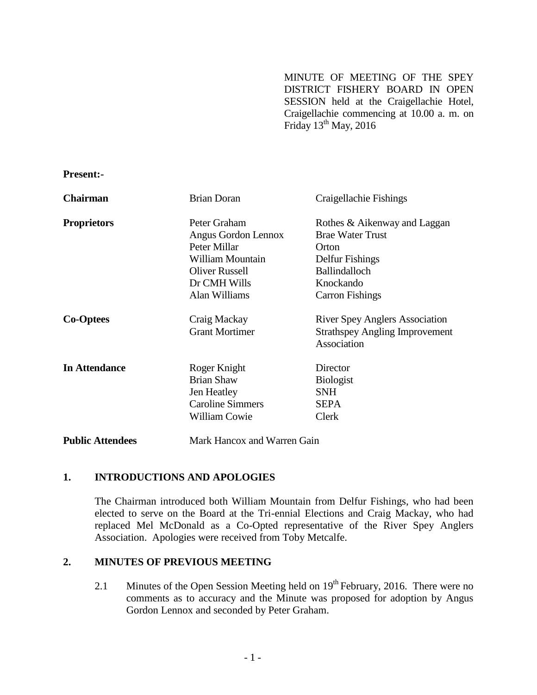MINUTE OF MEETING OF THE SPEY DISTRICT FISHERY BOARD IN OPEN SESSION held at the Craigellachie Hotel, Craigellachie commencing at 10.00 a. m. on Friday  $13^{\text{th}}$  May, 2016

**Present:-**

| <b>Chairman</b>         | <b>Brian Doran</b>                                                                                                                | Craigellachie Fishings                                                                                                                             |
|-------------------------|-----------------------------------------------------------------------------------------------------------------------------------|----------------------------------------------------------------------------------------------------------------------------------------------------|
| <b>Proprietors</b>      | Peter Graham<br>Angus Gordon Lennox<br>Peter Millar<br>William Mountain<br><b>Oliver Russell</b><br>Dr CMH Wills<br>Alan Williams | Rothes & Aikenway and Laggan<br><b>Brae Water Trust</b><br>Orton<br>Delfur Fishings<br><b>Ballindalloch</b><br>Knockando<br><b>Carron Fishings</b> |
| <b>Co-Optees</b>        | Craig Mackay<br><b>Grant Mortimer</b>                                                                                             | <b>River Spey Anglers Association</b><br><b>Strathspey Angling Improvement</b><br>Association                                                      |
| <b>In Attendance</b>    | Roger Knight<br><b>Brian Shaw</b><br>Jen Heatley<br><b>Caroline Simmers</b><br><b>William Cowie</b>                               | Director<br><b>Biologist</b><br><b>SNH</b><br>SEPA<br>Clerk                                                                                        |
| <b>Public Attendees</b> | Mark Hancox and Warren Gain                                                                                                       |                                                                                                                                                    |

## **1. INTRODUCTIONS AND APOLOGIES**

The Chairman introduced both William Mountain from Delfur Fishings, who had been elected to serve on the Board at the Tri-ennial Elections and Craig Mackay, who had replaced Mel McDonald as a Co-Opted representative of the River Spey Anglers Association. Apologies were received from Toby Metcalfe.

# **2. MINUTES OF PREVIOUS MEETING**

2.1 Minutes of the Open Session Meeting held on  $19<sup>th</sup>$  February, 2016. There were no comments as to accuracy and the Minute was proposed for adoption by Angus Gordon Lennox and seconded by Peter Graham.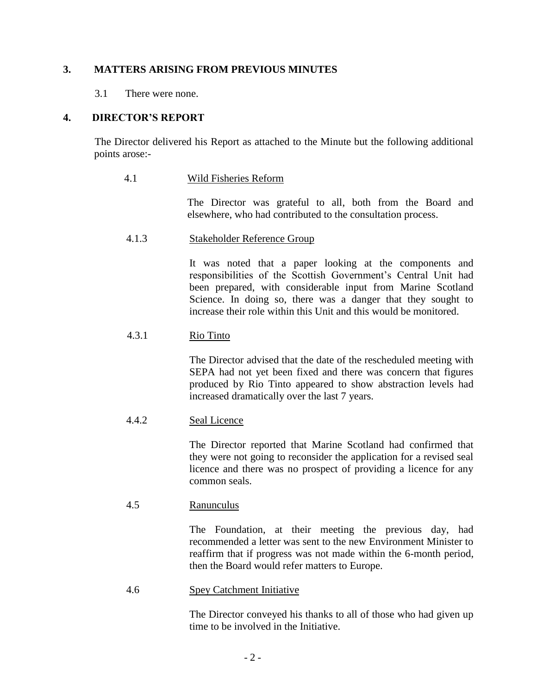# **3. MATTERS ARISING FROM PREVIOUS MINUTES**

3.1 There were none.

# **4. DIRECTOR'S REPORT**

The Director delivered his Report as attached to the Minute but the following additional points arose:-

# 4.1 Wild Fisheries Reform

The Director was grateful to all, both from the Board and elsewhere, who had contributed to the consultation process.

## 4.1.3 Stakeholder Reference Group

It was noted that a paper looking at the components and responsibilities of the Scottish Government's Central Unit had been prepared, with considerable input from Marine Scotland Science. In doing so, there was a danger that they sought to increase their role within this Unit and this would be monitored.

# 4.3.1 Rio Tinto

The Director advised that the date of the rescheduled meeting with SEPA had not yet been fixed and there was concern that figures produced by Rio Tinto appeared to show abstraction levels had increased dramatically over the last 7 years.

# 4.4.2 Seal Licence

The Director reported that Marine Scotland had confirmed that they were not going to reconsider the application for a revised seal licence and there was no prospect of providing a licence for any common seals.

## 4.5 Ranunculus

The Foundation, at their meeting the previous day, had recommended a letter was sent to the new Environment Minister to reaffirm that if progress was not made within the 6-month period, then the Board would refer matters to Europe.

## 4.6 Spey Catchment Initiative

The Director conveyed his thanks to all of those who had given up time to be involved in the Initiative.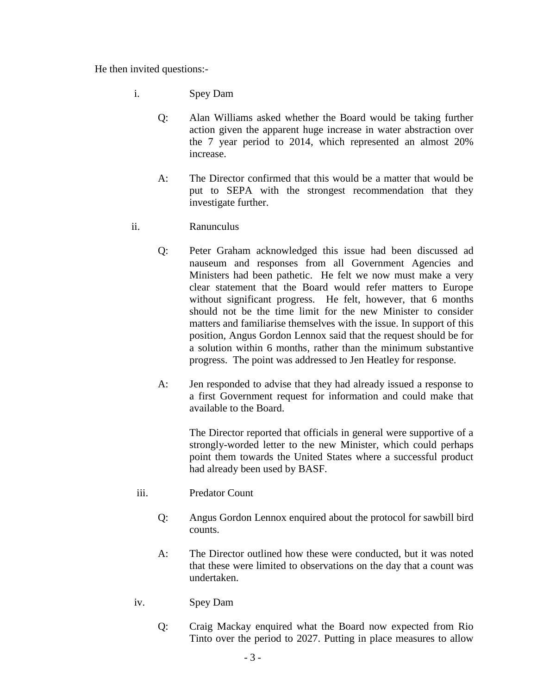He then invited questions:-

- i. Spey Dam
	- Q: Alan Williams asked whether the Board would be taking further action given the apparent huge increase in water abstraction over the 7 year period to 2014, which represented an almost 20% increase.
	- A: The Director confirmed that this would be a matter that would be put to SEPA with the strongest recommendation that they investigate further.
- ii. Ranunculus
	- Q: Peter Graham acknowledged this issue had been discussed ad nauseum and responses from all Government Agencies and Ministers had been pathetic. He felt we now must make a very clear statement that the Board would refer matters to Europe without significant progress. He felt, however, that 6 months should not be the time limit for the new Minister to consider matters and familiarise themselves with the issue. In support of this position, Angus Gordon Lennox said that the request should be for a solution within 6 months, rather than the minimum substantive progress. The point was addressed to Jen Heatley for response.
	- A: Jen responded to advise that they had already issued a response to a first Government request for information and could make that available to the Board.

The Director reported that officials in general were supportive of a strongly-worded letter to the new Minister, which could perhaps point them towards the United States where a successful product had already been used by BASF.

- iii. Predator Count
	- Q: Angus Gordon Lennox enquired about the protocol for sawbill bird counts.
	- A: The Director outlined how these were conducted, but it was noted that these were limited to observations on the day that a count was undertaken.
- iv. Spey Dam
	- Q: Craig Mackay enquired what the Board now expected from Rio Tinto over the period to 2027. Putting in place measures to allow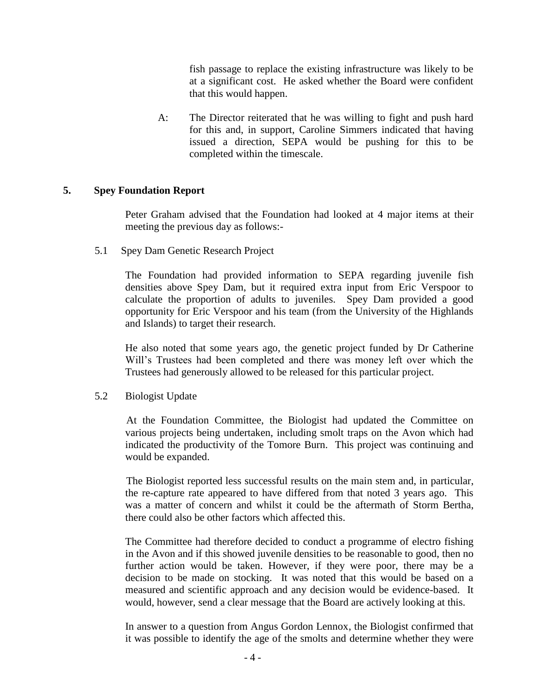fish passage to replace the existing infrastructure was likely to be at a significant cost. He asked whether the Board were confident that this would happen.

A: The Director reiterated that he was willing to fight and push hard for this and, in support, Caroline Simmers indicated that having issued a direction, SEPA would be pushing for this to be completed within the timescale.

## **5. Spey Foundation Report**

Peter Graham advised that the Foundation had looked at 4 major items at their meeting the previous day as follows:-

5.1 Spey Dam Genetic Research Project

The Foundation had provided information to SEPA regarding juvenile fish densities above Spey Dam, but it required extra input from Eric Verspoor to calculate the proportion of adults to juveniles. Spey Dam provided a good opportunity for Eric Verspoor and his team (from the University of the Highlands and Islands) to target their research.

He also noted that some years ago, the genetic project funded by Dr Catherine Will's Trustees had been completed and there was money left over which the Trustees had generously allowed to be released for this particular project.

5.2 Biologist Update

At the Foundation Committee, the Biologist had updated the Committee on various projects being undertaken, including smolt traps on the Avon which had indicated the productivity of the Tomore Burn. This project was continuing and would be expanded.

The Biologist reported less successful results on the main stem and, in particular, the re-capture rate appeared to have differed from that noted 3 years ago. This was a matter of concern and whilst it could be the aftermath of Storm Bertha, there could also be other factors which affected this.

The Committee had therefore decided to conduct a programme of electro fishing in the Avon and if this showed juvenile densities to be reasonable to good, then no further action would be taken. However, if they were poor, there may be a decision to be made on stocking. It was noted that this would be based on a measured and scientific approach and any decision would be evidence-based. It would, however, send a clear message that the Board are actively looking at this.

In answer to a question from Angus Gordon Lennox, the Biologist confirmed that it was possible to identify the age of the smolts and determine whether they were